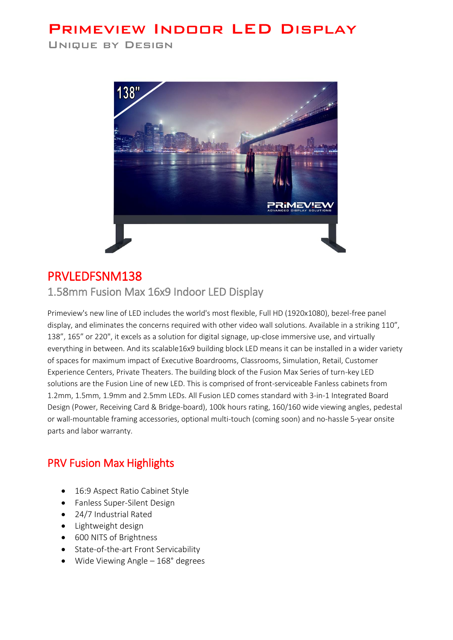# **PRIMEVIEW INDOOR LED DISPLAY**

**UNIQUE BY DESIGN** 



## PRVLEDFSNM138

1.58mm Fusion Max 16x9 Indoor LED Display

Primeview's new line of LED includes the world's most flexible, Full HD (1920x1080), bezel-free panel display, and eliminates the concerns required with other video wall solutions. Available in a striking 110", 138", 165" or 220", it excels as a solution for digital signage, up-close immersive use, and virtually everything in between. And its scalable16x9 building block LED means it can be installed in a wider variety of spaces for maximum impact of Executive Boardrooms, Classrooms, Simulation, Retail, Customer Experience Centers, Private Theaters. The building block of the Fusion Max Series of turn-key LED solutions are the Fusion Line of new LED. This is comprised of front-serviceable Fanless cabinets from 1.2mm, 1.5mm, 1.9mm and 2.5mm LEDs. All Fusion LED comes standard with 3-in-1 Integrated Board Design (Power, Receiving Card & Bridge-board), 100k hours rating, 160/160 wide viewing angles, pedestal or wall-mountable framing accessories, optional multi-touch (coming soon) and no-hassle 5-year onsite parts and labor warranty.

### PRV Fusion Max Highlights

- 16:9 Aspect Ratio Cabinet Style
- Fanless Super-Silent Design
- 24/7 Industrial Rated
- Lightweight design
- 600 NITS of Brightness
- State-of-the-art Front Servicability
- Wide Viewing Angle 168° degrees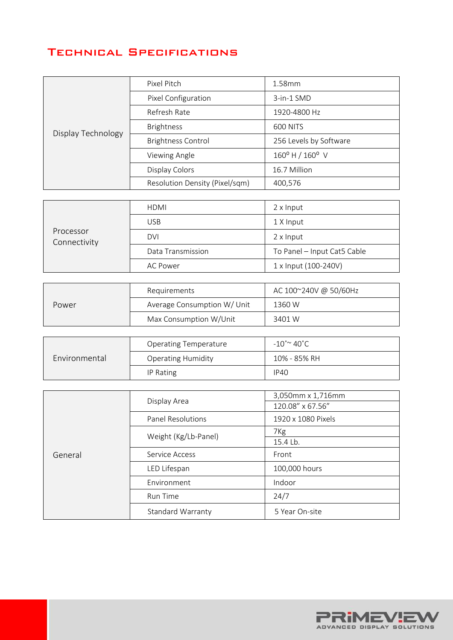### **TECHNICAL SPECIFICATIONS**

| Display Technology | Pixel Pitch                    | 1.58mm                            |
|--------------------|--------------------------------|-----------------------------------|
|                    | Pixel Configuration            | 3-in-1 SMD                        |
|                    | Refresh Rate                   | 1920-4800 Hz                      |
|                    | <b>Brightness</b>              | <b>600 NITS</b>                   |
|                    | <b>Brightness Control</b>      | 256 Levels by Software            |
|                    | Viewing Angle                  | $160^{\circ}$ H / $160^{\circ}$ V |
|                    | Display Colors                 | 16.7 Million                      |
|                    | Resolution Density (Pixel/sqm) | 400,576                           |

| Processor<br>Connectivity | <b>HDMI</b>       | 2 x Input                   |
|---------------------------|-------------------|-----------------------------|
|                           | <b>USB</b>        | 1 X Input                   |
|                           | <b>DVI</b>        | 2 x Input                   |
|                           | Data Transmission | To Panel - Input Cat5 Cable |
|                           | AC Power          | 1 x Input (100-240V)        |

| Power | Requirements                | AC 100~240V @ 50/60Hz |
|-------|-----------------------------|-----------------------|
|       | Average Consumption W/ Unit | 1360 W                |
|       | Max Consumption W/Unit      | 3401 W                |

| Environmental | <b>Operating Temperature</b> | $-10^{\circ}$ $\sim$ 40 $^{\circ}$ C |
|---------------|------------------------------|--------------------------------------|
|               | <b>Operating Humidity</b>    | 10% - 85% RH                         |
|               | IP Rating                    | <b>IP40</b>                          |

| General | Display Area             | 3,050mm x 1,716mm  |
|---------|--------------------------|--------------------|
|         |                          | 120.08" x 67.56"   |
|         | <b>Panel Resolutions</b> | 1920 x 1080 Pixels |
|         | Weight (Kg/Lb-Panel)     | 7 <sub>Kg</sub>    |
|         |                          | 15.4 Lb.           |
|         | Service Access           | Front              |
|         | LED Lifespan             | 100,000 hours      |
|         | Environment              | Indoor             |
|         | Run Time                 | 24/7               |
|         | Standard Warranty        | 5 Year On-site     |